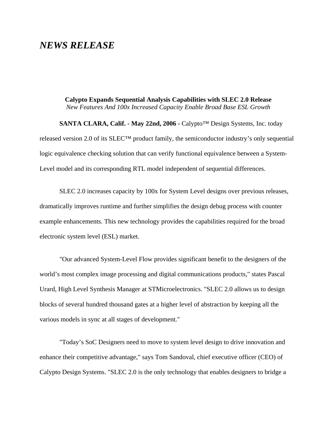## *NEWS RELEASE*

**Calypto Expands Sequential Analysis Capabilities with SLEC 2.0 Release** *New Features And 100x Increased Capacity Enable Broad Base ESL Growth*

**SANTA CLARA, Calif. - May 22nd, 2006 -** Calypto™ Design Systems, Inc. today released version 2.0 of its SLEC™ product family, the semiconductor industry's only sequential logic equivalence checking solution that can verify functional equivalence between a System-Level model and its corresponding RTL model independent of sequential differences.

SLEC 2.0 increases capacity by 100x for System Level designs over previous releases, dramatically improves runtime and further simplifies the design debug process with counter example enhancements. This new technology provides the capabilities required for the broad electronic system level (ESL) market.

"Our advanced System-Level Flow provides significant benefit to the designers of the world's most complex image processing and digital communications products," states Pascal Urard, High Level Synthesis Manager at STMicroelectronics. "SLEC 2.0 allows us to design blocks of several hundred thousand gates at a higher level of abstraction by keeping all the various models in sync at all stages of development."

"Today's SoC Designers need to move to system level design to drive innovation and enhance their competitive advantage," says Tom Sandoval, chief executive officer (CEO) of Calypto Design Systems. "SLEC 2.0 is the only technology that enables designers to bridge a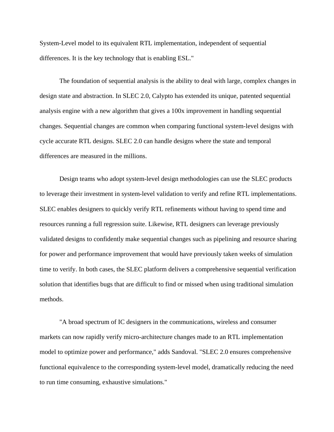System-Level model to its equivalent RTL implementation, independent of sequential differences. It is the key technology that is enabling ESL."

The foundation of sequential analysis is the ability to deal with large, complex changes in design state and abstraction. In SLEC 2.0, Calypto has extended its unique, patented sequential analysis engine with a new algorithm that gives a 100x improvement in handling sequential changes. Sequential changes are common when comparing functional system-level designs with cycle accurate RTL designs. SLEC 2.0 can handle designs where the state and temporal differences are measured in the millions.

Design teams who adopt system-level design methodologies can use the SLEC products to leverage their investment in system-level validation to verify and refine RTL implementations. SLEC enables designers to quickly verify RTL refinements without having to spend time and resources running a full regression suite. Likewise, RTL designers can leverage previously validated designs to confidently make sequential changes such as pipelining and resource sharing for power and performance improvement that would have previously taken weeks of simulation time to verify. In both cases, the SLEC platform delivers a comprehensive sequential verification solution that identifies bugs that are difficult to find or missed when using traditional simulation methods.

"A broad spectrum of IC designers in the communications, wireless and consumer markets can now rapidly verify micro-architecture changes made to an RTL implementation model to optimize power and performance," adds Sandoval. "SLEC 2.0 ensures comprehensive functional equivalence to the corresponding system-level model, dramatically reducing the need to run time consuming, exhaustive simulations."